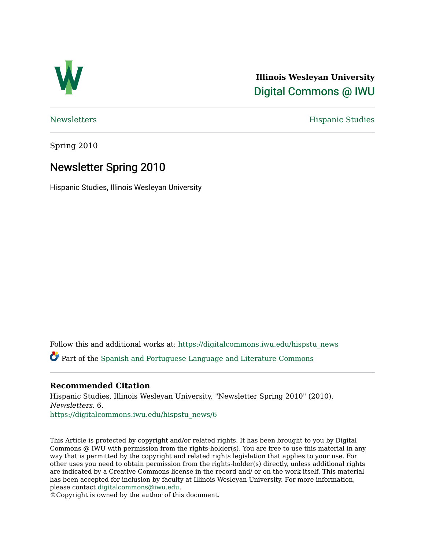

**Illinois Wesleyan University**  [Digital Commons @ IWU](https://digitalcommons.iwu.edu/) 

[Newsletters](https://digitalcommons.iwu.edu/hispstu_news) Hispanic Studies

Spring 2010

## Newsletter Spring 2010

Hispanic Studies, Illinois Wesleyan University

Follow this and additional works at: [https://digitalcommons.iwu.edu/hispstu\\_news](https://digitalcommons.iwu.edu/hispstu_news?utm_source=digitalcommons.iwu.edu%2Fhispstu_news%2F6&utm_medium=PDF&utm_campaign=PDFCoverPages) 

Part of the [Spanish and Portuguese Language and Literature Commons](http://network.bepress.com/hgg/discipline/546?utm_source=digitalcommons.iwu.edu%2Fhispstu_news%2F6&utm_medium=PDF&utm_campaign=PDFCoverPages) 

#### **Recommended Citation**

Hispanic Studies, Illinois Wesleyan University, "Newsletter Spring 2010" (2010). Newsletters. 6.

[https://digitalcommons.iwu.edu/hispstu\\_news/6](https://digitalcommons.iwu.edu/hispstu_news/6?utm_source=digitalcommons.iwu.edu%2Fhispstu_news%2F6&utm_medium=PDF&utm_campaign=PDFCoverPages) 

This Article is protected by copyright and/or related rights. It has been brought to you by Digital Commons @ IWU with permission from the rights-holder(s). You are free to use this material in any way that is permitted by the copyright and related rights legislation that applies to your use. For other uses you need to obtain permission from the rights-holder(s) directly, unless additional rights are indicated by a Creative Commons license in the record and/ or on the work itself. This material has been accepted for inclusion by faculty at Illinois Wesleyan University. For more information, please contact [digitalcommons@iwu.edu.](mailto:digitalcommons@iwu.edu)

©Copyright is owned by the author of this document.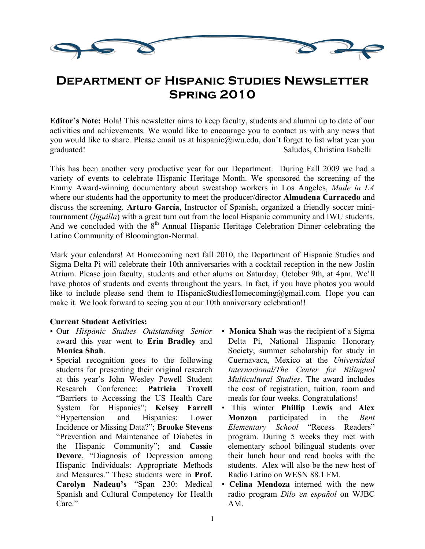

# **Department of Hispanic Studies Newsletter Spring 2010**

**Editor's Note:** Hola! This newsletter aims to keep faculty, students and alumni up to date of our activities and achievements. We would like to encourage you to contact us with any news that you would like to share. Please email us at hispanic@iwu.edu, don't forget to list what year you graduated! Saludos, Christina Isabelli

This has been another very productive year for our Department. During Fall 2009 we had a variety of events to celebrate Hispanic Heritage Month. We sponsored the screening of the Emmy Award-winning documentary about sweatshop workers in Los Angeles, *Made in LA* where our students had the opportunity to meet the producer/director **Almudena Carracedo** and discuss the screening. **Arturo García**, Instructor of Spanish, organized a friendly soccer minitournament (*liguilla*) with a great turn out from the local Hispanic community and IWU students. And we concluded with the  $8<sup>th</sup>$  Annual Hispanic Heritage Celebration Dinner celebrating the Latino Community of Bloomington-Normal.

Mark your calendars! At Homecoming next fall 2010, the Department of Hispanic Studies and Sigma Delta Pi will celebrate their 10th anniversaries with a cocktail reception in the new Joslin Atrium. Please join faculty, students and other alums on Saturday, October 9th, at 4pm. We'll have photos of students and events throughout the years. In fact, if you have photos you would like to include please send them to HispanicStudiesHomecoming@gmail.com. Hope you can make it. We look forward to seeing you at our 10th anniversary celebration!!

#### **Current Student Activities:**

- Our *Hispanic Studies Outstanding Senior* award this year went to **Erin Bradley** and **Monica Shah**.
- Special recognition goes to the following students for presenting their original research at this year's John Wesley Powell Student Research Conference: **Patricia Troxell** "Barriers to Accessing the US Health Care System for Hispanics"; **Kelsey Farrell** "Hypertension and Hispanics: Lower Incidence or Missing Data?"; **Brooke Stevens** "Prevention and Maintenance of Diabetes in the Hispanic Community"; and **Cassie Devore**, "Diagnosis of Depression among Hispanic Individuals: Appropriate Methods and Measures." These students were in **Prof. Carolyn Nadeau's** "Span 230: Medical Spanish and Cultural Competency for Health Care"
- **Monica Shah** was the recipient of a Sigma Delta Pi, National Hispanic Honorary Society, summer scholarship for study in Cuernavaca, Mexico at the *Universidad Internacional/The Center for Bilingual Multicultural Studies*. The award includes the cost of registration, tuition, room and meals for four weeks. Congratulations!
- This winter **Phillip Lewis** and **Alex Monzon** participated in the *Bent Elementary School* "Recess Readers" program. During 5 weeks they met with elementary school bilingual students over their lunch hour and read books with the students. Alex will also be the new host of Radio Latino on WESN 88.1 FM.
- **Celina Mendoza** interned with the new radio program *Dilo en español* on WJBC AM.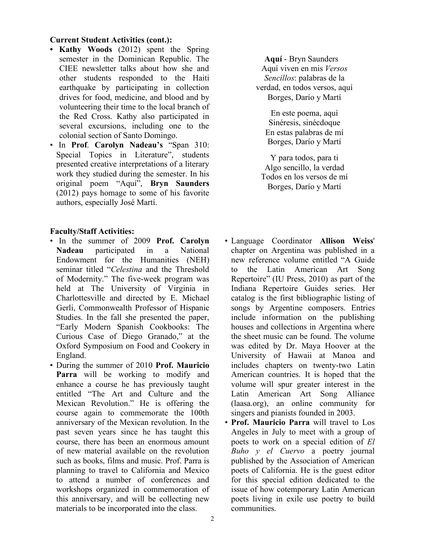#### **Current Student Activities (cont.):**

- **Kathy Woods** (2012) spent the Spring semester in the Dominican Republic. The CIEE newsletter talks about how she and other students responded to the Haiti earthquake by participating in collection drives for food, medicine, and blood and by volunteering their time to the local branch of the Red Cross. Kathy also participated in several excursions, including one to the colonial section of Santo Domingo.
- In **Prof**. **Carolyn Nadeau's** "Span 310: Special Topics in Literature", students presented creative interpretations of a literary work they studied during the semester. In his original poem "Aquí", **Bryn Saunders** (2012) pays homage to some of his favorite authors, especially José Martí.

#### **Faculty/Staff Activities:**

- In the summer of 2009 **Prof. Carolyn Nadeau** participated in a National Endowment for the Humanities (NEH) seminar titled "*Celestina* and the Threshold of Modernity." The five-week program was held at The University of Virginia in Charlottesville and directed by E. Michael Gerli, Commonwealth Professor of Hispanic Studies. In the fall she presented the paper, "Early Modern Spanish Cookbooks: The Curious Case of Diego Granado," at the Oxford Symposium on Food and Cookery in England.
- During the summer of 2010 **Prof. Mauricio Parra** will be working to modify and enhance a course he has previously taught entitled "The Art and Culture and the Mexican Revolution." He is offering the course again to commemorate the 100th anniversary of the Mexican revolution. In the past seven years since he has taught this course, there has been an enormous amount of new material available on the revolution such as books, films and music. Prof. Parra is planning to travel to California and Mexico to attend a number of conferences and workshops organized in commemoration of this anniversary, and will be collecting new materials to be incorporated into the class.

 **Aquí** - Bryn Saunders Aquí viven en mis *Versos Sencillos*: palabras de la verdad, en todos versos, aquí Borges, Darío y Martí

En este poema, aquí Sinéresis, sinécdoque En estas palabras de mí Borges, Darío y Martí

Y para todos, para ti Algo sencillo, la verdad Todos en los versos de mí Borges, Darío y Martí

- Language Coordinator **Allison Weiss**' chapter on Argentina was published in a new reference volume entitled "A Guide to the Latin American Art Song Repertoire" (IU Press, 2010) as part of the Indiana Repertoire Guides series. Her catalog is the first bibliographic listing of songs by Argentine composers. Entries include information on the publishing houses and collections in Argentina where the sheet music can be found. The volume was edited by Dr. Maya Hoover at the University of Hawaii at Manoa and includes chapters on twenty-two Latin American countries. It is hoped that the volume will spur greater interest in the Latin American Art Song Alliance (laasa.org), an online community for singers and pianists founded in 2003.
- **Prof. Mauricio Parra** will travel to Los Angeles in July to meet with a group of poets to work on a special edition of *El Buho y el Cuervo* a poetry journal published by the Association of American poets of California. He is the guest editor for this special edition dedicated to the issue of how cotemporary Latin American poets living in exile use poetry to build communities.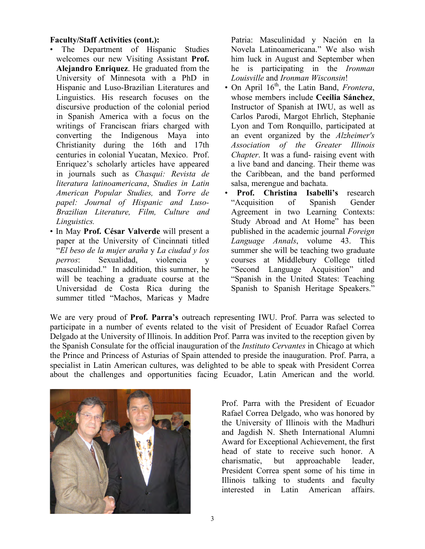#### **Faculty/Staff Activities (cont.):**

- The Department of Hispanic Studies welcomes our new Visiting Assistant **Prof. Alejandro Enriquez**. He graduated from the University of Minnesota with a PhD in Hispanic and Luso-Brazilian Literatures and Linguistics. His research focuses on the discursive production of the colonial period in Spanish America with a focus on the writings of Franciscan friars charged with converting the Indigenous Maya into Christianity during the 16th and 17th centuries in colonial Yucatan, Mexico. Prof. Enriquez's scholarly articles have appeared in journals such as *Chasqui: Revista de literatura latinoamericana*, *Studies in Latin American Popular Studies,* and *Torre de papel: Journal of Hispanic and Luso-Brazilian Literature, Film, Culture and Linguistics.*
- In May **Prof. César Valverde** will present a paper at the University of Cincinnati titled "*El beso de la mujer araña* y *La ciudad y los perros*: Sexualidad, violencia y masculinidad." In addition, this summer, he will be teaching a graduate course at the Universidad de Costa Rica during the summer titled "Machos, Maricas y Madre

Patria: Masculinidad y Nación en la Novela Latinoamericana." We also wish him luck in August and September when he is participating in the *Ironman Louisville* and *Ironman Wisconsin*!

- On April 16<sup>th</sup>, the Latin Band, *Frontera*, whose members include **Cecilia Sánchez**, Instructor of Spanish at IWU, as well as Carlos Parodi, Margot Ehrlich, Stephanie Lyon and Tom Ronquillo, participated at an event organized by the *Alzheimer's Association of the Greater Illinois Chapter*. It was a fund- raising event with a live band and dancing. Their theme was the Caribbean, and the band performed salsa, merengue and bachata.
- **Prof. Christina Isabelli's** research "Acquisition of Spanish Gender Agreement in two Learning Contexts: Study Abroad and At Home" has been published in the academic journal *Foreign Language Annals*, volume 43. This summer she will be teaching two graduate courses at Middlebury College titled "Second Language Acquisition" and "Spanish in the United States: Teaching Spanish to Spanish Heritage Speakers."

We are very proud of **Prof. Parra's** outreach representing IWU. Prof. Parra was selected to participate in a number of events related to the visit of President of Ecuador Rafael Correa Delgado at the University of Illinois. In addition Prof. Parra was invited to the reception given by the Spanish Consulate for the official inauguration of the *Instituto Cervantes* in Chicago at which the Prince and Princess of Asturias of Spain attended to preside the inauguration. Prof. Parra, a specialist in Latin American cultures, was delighted to be able to speak with President Correa about the challenges and opportunities facing Ecuador, Latin American and the world.



Prof. Parra with the President of Ecuador Rafael Correa Delgado, who was honored by the University of Illinois with the Madhuri and Jagdish N. Sheth International Alumni Award for Exceptional Achievement, the first head of state to receive such honor. A charismatic, but approachable leader, President Correa spent some of his time in Illinois talking to students and faculty interested in Latin American affairs.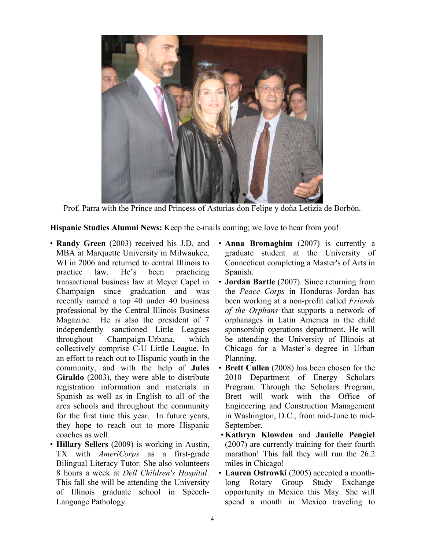

Prof. Parra with the Prince and Princess of Asturias don Felipe y doña Letizia de Borbón.

**Hispanic Studies Alumni News:** Keep the e-mails coming; we love to hear from you!

- **Randy Green** (2003) received his J.D. and MBA at Marquette University in Milwaukee, WI in 2006 and returned to central Illinois to practice law. He's been practicing transactional business law at Meyer Capel in Champaign since graduation and was recently named a top 40 under 40 business professional by the Central Illinois Business Magazine. He is also the president of 7 independently sanctioned Little Leagues throughout Champaign-Urbana, which collectively comprise C-U Little League. In an effort to reach out to Hispanic youth in the community, and with the help of **Jules Giraldo** (2003), they were able to distribute registration information and materials in Spanish as well as in English to all of the area schools and throughout the community for the first time this year. In future years, they hope to reach out to more Hispanic coaches as well.
- **Hillary Sellers** (2009) is working in Austin, TX with *AmeriCorps* as a first-grade Bilingual Literacy Tutor. She also volunteers 8 hours a week at *Dell Children's Hospital*. This fall she will be attending the University of Illinois graduate school in Speech-Language Pathology.
- **Anna Bromaghim** (2007) is currently a graduate student at the University of Connecticut completing a Master's of Arts in Spanish.
- **Jordan Bartle** (2007). Since returning from the *Peace Corps* in Honduras Jordan has been working at a non-profit called *Friends of the Orphans* that supports a network of orphanages in Latin America in the child sponsorship operations department. He will be attending the University of Illinois at Chicago for a Master's degree in Urban Planning.
- **Brett Cullen** (2008) has been chosen for the 2010 Department of Energy Scholars Program. Through the Scholars Program, Brett will work with the Office of Engineering and Construction Management in Washington, D.C., from mid-June to mid-September.
- •**Kathryn Klowden** and **Janielle Pengiel** (2007) are currently training for their fourth marathon! This fall they will run the 26.2 miles in Chicago!
- **Lauren Ostrowki** (2005) accepted a monthlong Rotary Group Study Exchange opportunity in Mexico this May. She will spend a month in Mexico traveling to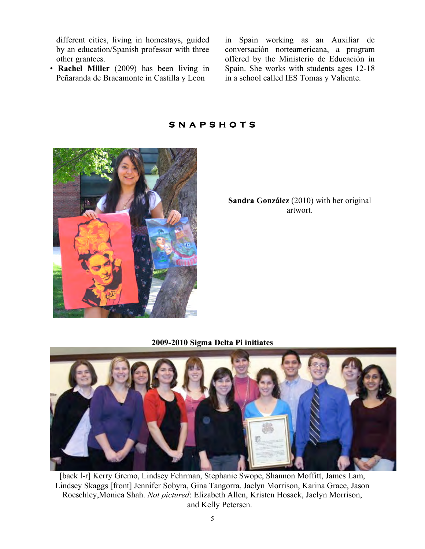different cities, living in homestays, guided by an education/Spanish professor with three other grantees.

• **Rachel Miller** (2009) has been living in Peñaranda de Bracamonte in Castilla y Leon

in Spain working as an Auxiliar de conversación norteamericana, a program offered by the Ministerio de Educación in Spain. She works with students ages 12-18 in a school called IES Tomas y Valiente.



#### **S N A P S H O T S**

**Sandra González** (2010) with her original artwort.

**2009-2010 Sigma Delta Pi initiates**



[back l-r] Kerry Gremo, Lindsey Fehrman, Stephanie Swope, Shannon Moffitt, James Lam, Lindsey Skaggs [front] Jennifer Sobyra, Gina Tangorra, Jaclyn Morrison, Karina Grace, Jason Roeschley,Monica Shah. *Not pictured*: Elizabeth Allen, Kristen Hosack, Jaclyn Morrison, and Kelly Petersen.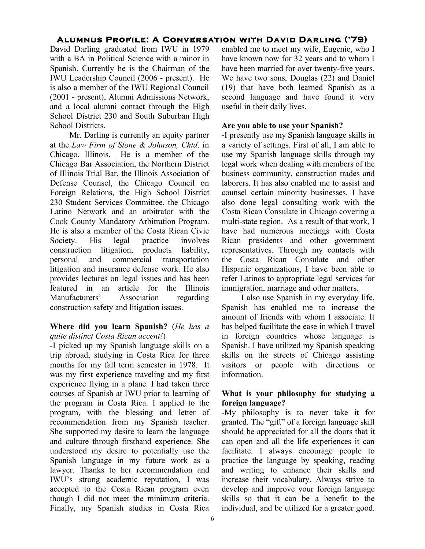### **Alumnus Profile: A Conversation with David Darling ('79)**

David Darling graduated from IWU in 1979 with a BA in Political Science with a minor in Spanish. Currently he is the Chairman of the IWU Leadership Council (2006 - present). He is also a member of the IWU Regional Council (2001 - present), Alumni Admissions Network, and a local alumni contact through the High School District 230 and South Suburban High School Districts.

Mr. Darling is currently an equity partner at the *Law Firm of Stone & Johnson, Chtd*. in Chicago, Illinois. He is a member of the Chicago Bar Association, the Northern District of Illinois Trial Bar, the Illinois Association of Defense Counsel, the Chicago Council on Foreign Relations, the High School District 230 Student Services Committee, the Chicago Latino Network and an arbitrator with the Cook County Mandatory Arbitration Program. He is also a member of the Costa Rican Civic Society. His legal practice involves construction litigation, products liability, personal and commercial transportation litigation and insurance defense work. He also provides lectures on legal issues and has been featured in an article for the Illinois Manufacturers' Association regarding construction safety and litigation issues.

#### **Where did you learn Spanish?** (*He has a quite distinct Costa Rican accent!*)

-I picked up my Spanish language skills on a trip abroad, studying in Costa Rica for three months for my fall term semester in 1978. It was my first experience traveling and my first experience flying in a plane. I had taken three courses of Spanish at IWU prior to learning of the program in Costa Rica. I applied to the program, with the blessing and letter of recommendation from my Spanish teacher. She supported my desire to learn the language and culture through firsthand experience. She understood my desire to potentially use the Spanish language in my future work as a lawyer. Thanks to her recommendation and IWU's strong academic reputation, I was accepted to the Costa Rican program even though I did not meet the minimum criteria. Finally, my Spanish studies in Costa Rica enabled me to meet my wife, Eugenie, who I have known now for 32 years and to whom I have been married for over twenty-five years. We have two sons, Douglas (22) and Daniel (19) that have both learned Spanish as a second language and have found it very useful in their daily lives.

#### **Are you able to use your Spanish?**

-I presently use my Spanish language skills in a variety of settings. First of all, I am able to use my Spanish language skills through my legal work when dealing with members of the business community, construction trades and laborers. It has also enabled me to assist and counsel certain minority businesses. I have also done legal consulting work with the Costa Rican Consulate in Chicago covering a multi-state region. As a result of that work, I have had numerous meetings with Costa Rican presidents and other government representatives. Through my contacts with the Costa Rican Consulate and other Hispanic organizations, I have been able to refer Latinos to appropriate legal services for immigration, marriage and other matters.

I also use Spanish in my everyday life. Spanish has enabled me to increase the amount of friends with whom I associate. It has helped facilitate the ease in which I travel in foreign countries whose language is Spanish. I have utilized my Spanish speaking skills on the streets of Chicago assisting visitors or people with directions or information.

#### **What is your philosophy for studying a foreign language?**

-My philosophy is to never take it for granted. The "gift" of a foreign language skill should be appreciated for all the doors that it can open and all the life experiences it can facilitate. I always encourage people to practice the language by speaking, reading and writing to enhance their skills and increase their vocabulary. Always strive to develop and improve your foreign language skills so that it can be a benefit to the individual, and be utilized for a greater good.